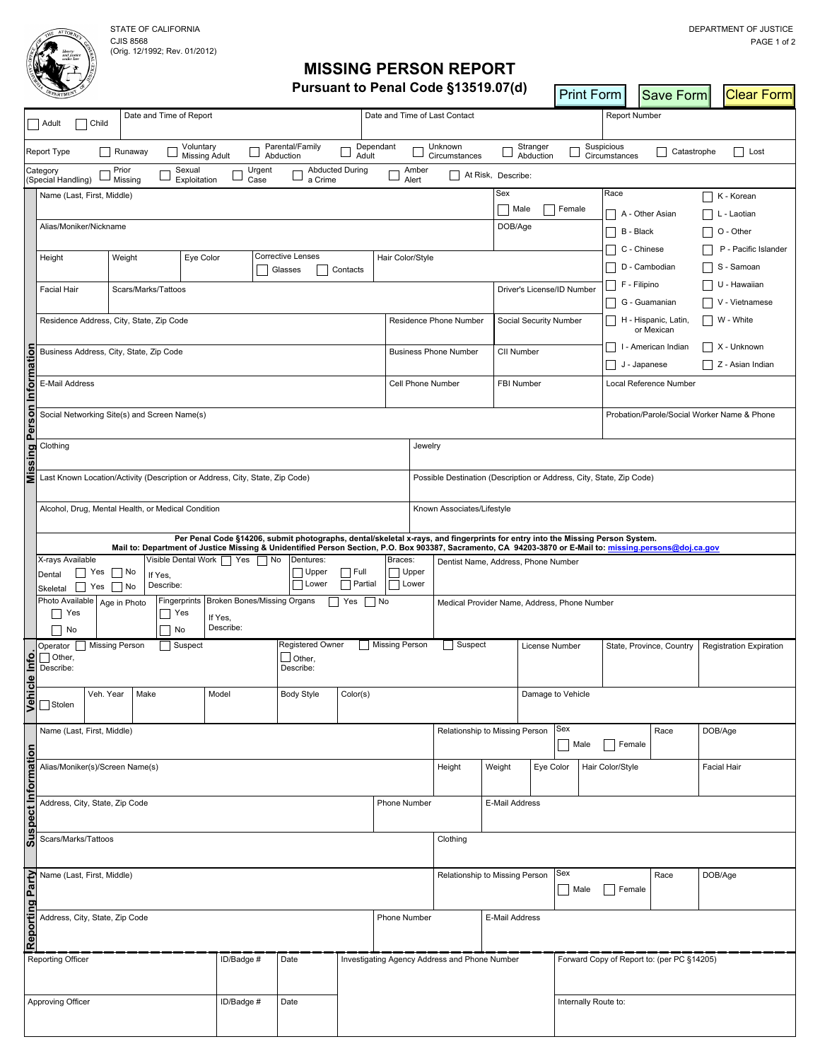CJIS 8568 (Orig. 12/1992; Rev. 01/2012)

## **MISSING PERSON REPORT Pursuant to Penal Code §13519.07(d)**

|                                                   |                                                                                                                                                                                                                                                                                            |                   |                                                                      |                                   |                               |                              |                        | Pursuant to Penal Code §13519.07(d)           |                                |                    |                                   |                               | Print Form                  |                                             | Save Form                                  |                      | <b>Clear Form</b>       |
|---------------------------------------------------|--------------------------------------------------------------------------------------------------------------------------------------------------------------------------------------------------------------------------------------------------------------------------------------------|-------------------|----------------------------------------------------------------------|-----------------------------------|-------------------------------|------------------------------|------------------------|-----------------------------------------------|--------------------------------|--------------------|-----------------------------------|-------------------------------|-----------------------------|---------------------------------------------|--------------------------------------------|----------------------|-------------------------|
|                                                   | Child<br>Adult                                                                                                                                                                                                                                                                             |                   |                                                                      | Date and Time of Report           |                               |                              |                        | Date and Time of Last Contact                 |                                |                    |                                   |                               |                             | <b>Report Number</b>                        |                                            |                      |                         |
|                                                   | Report Type                                                                                                                                                                                                                                                                                | Runaway           |                                                                      | Voluntary<br><b>Missing Adult</b> |                               | Parental/Family<br>Abduction | Adult                  | Dependant                                     | Unknown<br>Circumstances       |                    | Stranger<br>Abduction             |                               | Suspicious<br>Circumstances |                                             | Catastrophe                                |                      | Lost                    |
|                                                   | Category<br>(Special Handling)                                                                                                                                                                                                                                                             | Prior<br>Missing  |                                                                      | Sexual<br>Exploitation            | Urgent<br>Case                | a Crime                      | <b>Abducted During</b> | Amber<br>Alert                                |                                | At Risk, Describe: |                                   |                               |                             |                                             |                                            |                      |                         |
|                                                   | Name (Last, First, Middle)                                                                                                                                                                                                                                                                 |                   |                                                                      |                                   |                               |                              |                        |                                               |                                | Sex                |                                   |                               | Race                        |                                             |                                            |                      | K - Korean              |
|                                                   |                                                                                                                                                                                                                                                                                            |                   |                                                                      |                                   |                               |                              |                        |                                               |                                |                    | $\mathcal{L}$<br>T Female<br>Male |                               | $\blacksquare$              | A - Other Asian                             |                                            |                      | L - Laotian             |
|                                                   | Alias/Moniker/Nickname                                                                                                                                                                                                                                                                     |                   |                                                                      |                                   |                               |                              |                        |                                               |                                |                    | DOB/Age                           |                               |                             | B - Black                                   |                                            | $\Box$ O - Other     |                         |
|                                                   |                                                                                                                                                                                                                                                                                            |                   |                                                                      |                                   |                               |                              |                        |                                               |                                |                    |                                   |                               |                             | C - Chinese                                 |                                            | P - Pacific Islander |                         |
|                                                   | <b>Corrective Lenses</b><br>Weight<br>Eye Color<br>Height<br>Contacts<br>Glasses                                                                                                                                                                                                           |                   |                                                                      |                                   |                               |                              |                        |                                               | Hair Color/Style               |                    |                                   |                               |                             |                                             | D - Cambodian                              | $\Box$               | S - Samoan              |
|                                                   | <b>Facial Hair</b><br>Scars/Marks/Tattoos                                                                                                                                                                                                                                                  |                   |                                                                      |                                   |                               |                              |                        |                                               |                                |                    | Driver's License/ID Number        |                               | $\overline{\phantom{a}}$    | F - Filipino                                |                                            | $\blacksquare$       | U - Hawaiian            |
|                                                   |                                                                                                                                                                                                                                                                                            |                   |                                                                      |                                   |                               |                              |                        |                                               |                                |                    |                                   |                               |                             | G - Guamanian                               |                                            |                      | V - Vietnamese          |
|                                                   | Residence Address, City, State, Zip Code                                                                                                                                                                                                                                                   |                   |                                                                      |                                   |                               |                              |                        |                                               | Residence Phone Number         |                    | Social Security Number            |                               |                             |                                             | H - Hispanic, Latin,<br>or Mexican         |                      | $\Box$ W - White        |
| ᅙ                                                 | Business Address, City, State, Zip Code                                                                                                                                                                                                                                                    |                   |                                                                      |                                   |                               |                              |                        |                                               | <b>Business Phone Number</b>   |                    |                                   | CII Number                    |                             |                                             | I - American Indian                        |                      | $\Box$ X - Unknown      |
| ឨ                                                 |                                                                                                                                                                                                                                                                                            |                   |                                                                      |                                   |                               |                              |                        |                                               |                                |                    |                                   |                               |                             | J - Japanese                                |                                            |                      | $\Box$ Z - Asian Indian |
| 통                                                 | E-Mail Address                                                                                                                                                                                                                                                                             |                   |                                                                      |                                   |                               |                              |                        | Cell Phone Number                             |                                |                    | FBI Number                        |                               |                             | Local Reference Number                      |                                            |                      |                         |
| Perso                                             | Social Networking Site(s) and Screen Name(s)                                                                                                                                                                                                                                               |                   |                                                                      |                                   |                               |                              |                        |                                               |                                |                    |                                   |                               |                             | Probation/Parole/Social Worker Name & Phone |                                            |                      |                         |
| 의                                                 | Clothing                                                                                                                                                                                                                                                                                   |                   |                                                                      |                                   |                               |                              |                        |                                               | Jewelry                        |                    |                                   |                               |                             |                                             |                                            |                      |                         |
| ₹                                                 | Last Known Location/Activity (Description or Address, City, State, Zip Code)                                                                                                                                                                                                               |                   | Possible Destination (Description or Address, City, State, Zip Code) |                                   |                               |                              |                        |                                               |                                |                    |                                   |                               |                             |                                             |                                            |                      |                         |
|                                                   |                                                                                                                                                                                                                                                                                            |                   |                                                                      |                                   |                               |                              |                        |                                               |                                |                    |                                   |                               |                             |                                             |                                            |                      |                         |
|                                                   | Alcohol, Drug, Mental Health, or Medical Condition<br>Known Associates/Lifestyle                                                                                                                                                                                                           |                   |                                                                      |                                   |                               |                              |                        |                                               |                                |                    |                                   |                               |                             |                                             |                                            |                      |                         |
|                                                   | Per Penal Code §14206, submit photographs, dental/skeletal x-rays, and fingerprints for entry into the Missing Person System.<br>Mail to: Department of Justice Missing & Unidentified Person Section, P.O. Box 903387, Sacramento, CA 94203-3870 or E-Mail to: missing.persons@doj.ca.gov |                   |                                                                      |                                   |                               |                              |                        |                                               |                                |                    |                                   |                               |                             |                                             |                                            |                      |                         |
|                                                   | X-rays Available<br>Visible Dental Work   Yes<br>  Yes<br>$\vert$   No<br>Dental<br>If Yes,                                                                                                                                                                                                |                   |                                                                      |                                   | No                            | Dentures:<br>Upper           | Braces:<br>Upper       | Dentist Name, Address, Phone Number           |                                |                    |                                   |                               |                             |                                             |                                            |                      |                         |
|                                                   | $\Box$ Partial<br>  Lower<br>Describe:<br>$\Box$<br>$\Box$ No<br>Yes<br>Skeletal<br>Photo Available<br>Broken Bones/Missing Organs<br>Fingerprints<br>Yes<br>Age in Photo                                                                                                                  |                   |                                                                      |                                   |                               |                              | Lower<br>  No          | Medical Provider Name, Address, Phone Number  |                                |                    |                                   |                               |                             |                                             |                                            |                      |                         |
|                                                   | $\Box$ Yes<br>Yes<br>$\blacksquare$<br>$\Box$ No<br>No<br>$\blacksquare$                                                                                                                                                                                                                   |                   |                                                                      |                                   | If Yes,<br>Describe:          |                              |                        |                                               |                                |                    |                                   |                               |                             |                                             |                                            |                      |                         |
|                                                   | <b>Missing Person</b><br>Operator<br>Suspect                                                                                                                                                                                                                                               |                   |                                                                      |                                   | Registered Owner              | Missing Person               | Suspect                |                                               | License Number                 |                    |                                   | State, Province, Country      |                             |                                             | <b>Registration Expiration</b>             |                      |                         |
| Info                                              | $\Box$ Other,<br>Describe:                                                                                                                                                                                                                                                                 |                   |                                                                      |                                   | $\Box$ Other,<br>Describe:    |                              |                        |                                               |                                |                    |                                   |                               |                             |                                             |                                            |                      |                         |
| $\bullet$                                         |                                                                                                                                                                                                                                                                                            |                   |                                                                      |                                   |                               |                              |                        |                                               |                                |                    |                                   |                               |                             |                                             |                                            |                      |                         |
| Vehi                                              | Stolen                                                                                                                                                                                                                                                                                     | Veh. Year<br>Make |                                                                      | Model                             | <b>Body Style</b><br>Color(s) |                              |                        |                                               |                                |                    | Damage to Vehicle                 |                               |                             |                                             |                                            |                      |                         |
|                                                   | Name (Last, First, Middle)                                                                                                                                                                                                                                                                 |                   | Relationship to Missing Person                                       |                                   |                               | Sex                          |                        | Race                                          |                                | DOB/Age            |                                   |                               |                             |                                             |                                            |                      |                         |
|                                                   |                                                                                                                                                                                                                                                                                            |                   |                                                                      |                                   |                               |                              |                        |                                               |                                |                    |                                   | Male                          |                             | Female                                      |                                            |                      |                         |
| spect Informatior                                 | Alias/Moniker(s)/Screen Name(s)                                                                                                                                                                                                                                                            |                   |                                                                      |                                   |                               |                              |                        |                                               | Height<br>Weight               |                    |                                   | Eye Color<br>Hair Color/Style |                             |                                             | <b>Facial Hair</b>                         |                      |                         |
|                                                   | Address, City, State, Zip Code                                                                                                                                                                                                                                                             |                   |                                                                      |                                   |                               |                              |                        |                                               | Phone Number                   | E-Mail Address     |                                   |                               |                             |                                             |                                            |                      |                         |
| ô,<br>S                                           | Scars/Marks/Tattoos                                                                                                                                                                                                                                                                        |                   |                                                                      |                                   |                               |                              |                        |                                               | Clothing                       |                    |                                   |                               |                             |                                             |                                            |                      |                         |
|                                                   |                                                                                                                                                                                                                                                                                            |                   |                                                                      |                                   |                               |                              |                        |                                               |                                |                    |                                   |                               |                             |                                             |                                            |                      |                         |
|                                                   | Name (Last, First, Middle)                                                                                                                                                                                                                                                                 |                   |                                                                      |                                   |                               |                              |                        |                                               | Relationship to Missing Person |                    |                                   | Sex<br>  Male                 |                             | Female                                      | Race                                       |                      | DOB/Age                 |
|                                                   |                                                                                                                                                                                                                                                                                            |                   |                                                                      |                                   |                               | E-Mail Address               |                        |                                               |                                |                    |                                   |                               |                             |                                             |                                            |                      |                         |
| Reporting Party<br>Address, City, State, Zip Code |                                                                                                                                                                                                                                                                                            |                   |                                                                      |                                   | Phone Number                  |                              |                        |                                               |                                |                    |                                   |                               |                             |                                             |                                            |                      |                         |
|                                                   | Reporting Officer                                                                                                                                                                                                                                                                          |                   |                                                                      |                                   | ID/Badge #                    | Date                         |                        | Investigating Agency Address and Phone Number |                                |                    |                                   |                               |                             |                                             | Forward Copy of Report to: (per PC §14205) |                      |                         |
|                                                   |                                                                                                                                                                                                                                                                                            |                   |                                                                      |                                   |                               |                              |                        |                                               |                                |                    |                                   |                               |                             |                                             |                                            |                      |                         |
|                                                   | Approving Officer                                                                                                                                                                                                                                                                          |                   |                                                                      |                                   | ID/Badge #                    | Date                         |                        |                                               |                                |                    |                                   |                               | Internally Route to:        |                                             |                                            |                      |                         |